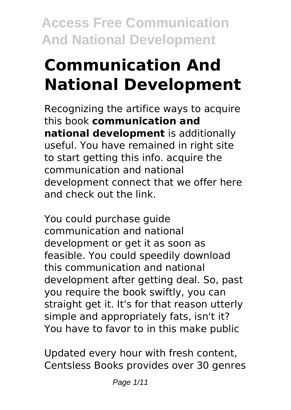# **Communication And National Development**

Recognizing the artifice ways to acquire this book **communication and national development** is additionally useful. You have remained in right site to start getting this info. acquire the communication and national development connect that we offer here and check out the link.

You could purchase guide communication and national development or get it as soon as feasible. You could speedily download this communication and national development after getting deal. So, past you require the book swiftly, you can straight get it. It's for that reason utterly simple and appropriately fats, isn't it? You have to favor to in this make public

Updated every hour with fresh content, Centsless Books provides over 30 genres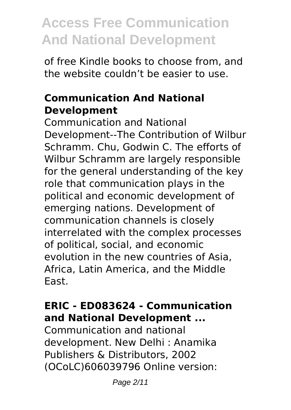of free Kindle books to choose from, and the website couldn't be easier to use.

#### **Communication And National Development**

Communication and National Development--The Contribution of Wilbur Schramm. Chu, Godwin C. The efforts of Wilbur Schramm are largely responsible for the general understanding of the key role that communication plays in the political and economic development of emerging nations. Development of communication channels is closely interrelated with the complex processes of political, social, and economic evolution in the new countries of Asia, Africa, Latin America, and the Middle East.

### **ERIC - ED083624 - Communication and National Development ...**

Communication and national development. New Delhi : Anamika Publishers & Distributors, 2002 (OCoLC)606039796 Online version: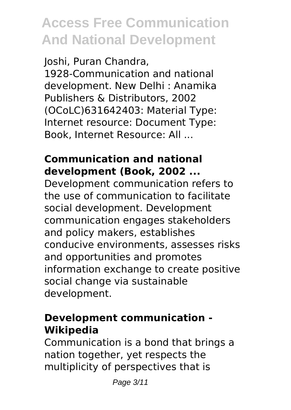Joshi, Puran Chandra, 1928-Communication and national development. New Delhi : Anamika Publishers & Distributors, 2002 (OCoLC)631642403: Material Type: Internet resource: Document Type: Book, Internet Resource: All ...

### **Communication and national development (Book, 2002 ...**

Development communication refers to the use of communication to facilitate social development. Development communication engages stakeholders and policy makers, establishes conducive environments, assesses risks and opportunities and promotes information exchange to create positive social change via sustainable development.

### **Development communication - Wikipedia**

Communication is a bond that brings a nation together, yet respects the multiplicity of perspectives that is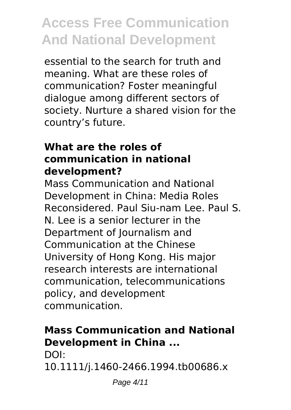essential to the search for truth and meaning. What are these roles of communication? Foster meaningful dialogue among different sectors of society. Nurture a shared vision for the country's future.

#### **What are the roles of communication in national development?**

Mass Communication and National Development in China: Media Roles Reconsidered. Paul Siu‐nam Lee. Paul S. N. Lee is a senior lecturer in the Department of Journalism and Communication at the Chinese University of Hong Kong. His major research interests are international communication, telecommunications policy, and development communication.

### **Mass Communication and National Development in China ...**

DOI:

10.1111/j.1460-2466.1994.tb00686.x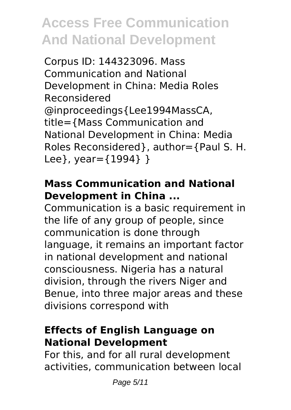Corpus ID: 144323096. Mass Communication and National Development in China: Media Roles Reconsidered @inproceedings{Lee1994MassCA, title={Mass Communication and National Development in China: Media Roles Reconsidered}, author={Paul S. H. Lee}, year={1994} }

### **Mass Communication and National Development in China ...**

Communication is a basic requirement in the life of any group of people, since communication is done through language, it remains an important factor in national development and national consciousness. Nigeria has a natural division, through the rivers Niger and Benue, into three major areas and these divisions correspond with

### **Effects of English Language on National Development**

For this, and for all rural development activities, communication between local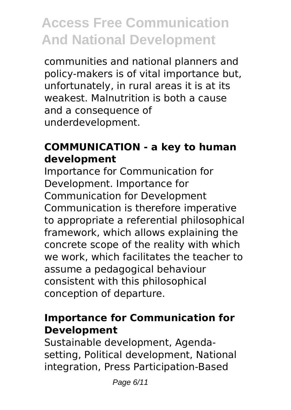communities and national planners and policy-makers is of vital importance but, unfortunately, in rural areas it is at its weakest. Malnutrition is both a cause and a consequence of underdevelopment.

### **COMMUNICATION - a key to human development**

Importance for Communication for Development. Importance for Communication for Development Communication is therefore imperative to appropriate a referential philosophical framework, which allows explaining the concrete scope of the reality with which we work, which facilitates the teacher to assume a pedagogical behaviour consistent with this philosophical conception of departure.

### **Importance for Communication for Development**

Sustainable development, Agendasetting, Political development, National integration, Press Participation-Based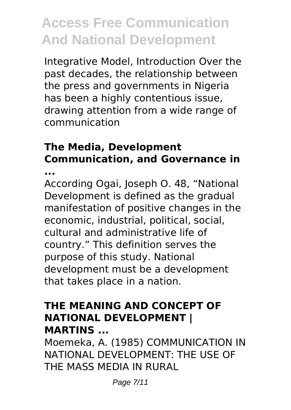Integrative Model, Introduction Over the past decades, the relationship between the press and governments in Nigeria has been a highly contentious issue, drawing attention from a wide range of communication

### **The Media, Development Communication, and Governance in ...**

According Ogai, Joseph O. 48, "National Development is defined as the gradual manifestation of positive changes in the economic, industrial, political, social, cultural and administrative life of country." This definition serves the purpose of this study. National development must be a development that takes place in a nation.

#### **THE MEANING AND CONCEPT OF NATIONAL DEVELOPMENT | MARTINS ...**

Moemeka, A. (1985) COMMUNICATION IN NATIONAL DEVELOPMENT: THE USE OF THE MASS MEDIA IN RURAL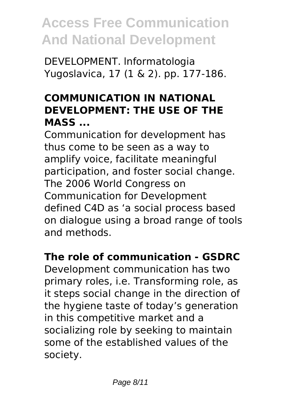DEVELOPMENT. lnformatologia Yugoslavica, 17 (1 & 2). pp. 177-186.

### **COMMUNICATION IN NATIONAL DEVELOPMENT: THE USE OF THE MASS ...**

Communication for development has thus come to be seen as a way to amplify voice, facilitate meaningful participation, and foster social change. The 2006 World Congress on Communication for Development defined C4D as 'a social process based on dialogue using a broad range of tools and methods.

### **The role of communication - GSDRC**

Development communication has two primary roles, i.e. Transforming role, as it steps social change in the direction of the hygiene taste of today's generation in this competitive market and a socializing role by seeking to maintain some of the established values of the society.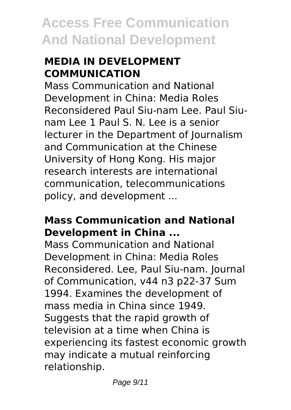### **MEDIA IN DEVELOPMENT COMMUNICATION**

Mass Communication and National Development in China: Media Roles Reconsidered Paul Siu-nam Lee. Paul Siunam Lee 1 Paul S. N. Lee is a senior lecturer in the Department of Journalism and Communication at the Chinese University of Hong Kong. His major research interests are international communication, telecommunications policy, and development ...

#### **Mass Communication and National Development in China ...**

Mass Communication and National Development in China: Media Roles Reconsidered. Lee, Paul Siu-nam. Journal of Communication, v44 n3 p22-37 Sum 1994. Examines the development of mass media in China since 1949. Suggests that the rapid growth of television at a time when China is experiencing its fastest economic growth may indicate a mutual reinforcing relationship.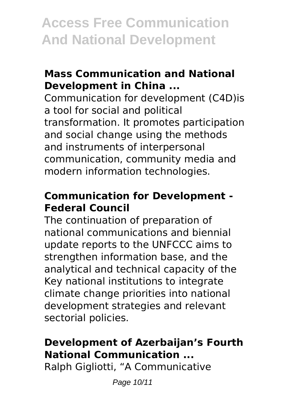#### **Mass Communication and National Development in China ...**

Communication for development (C4D)is a tool for social and political transformation. It promotes participation and social change using the methods and instruments of interpersonal communication, community media and modern information technologies.

### **Communication for Development - Federal Council**

The continuation of preparation of national communications and biennial update reports to the UNFCCC aims to strengthen information base, and the analytical and technical capacity of the Key national institutions to integrate climate change priorities into national development strategies and relevant sectorial policies.

### **Development of Azerbaijan's Fourth National Communication ...**

Ralph Gigliotti, "A Communicative

Page 10/11